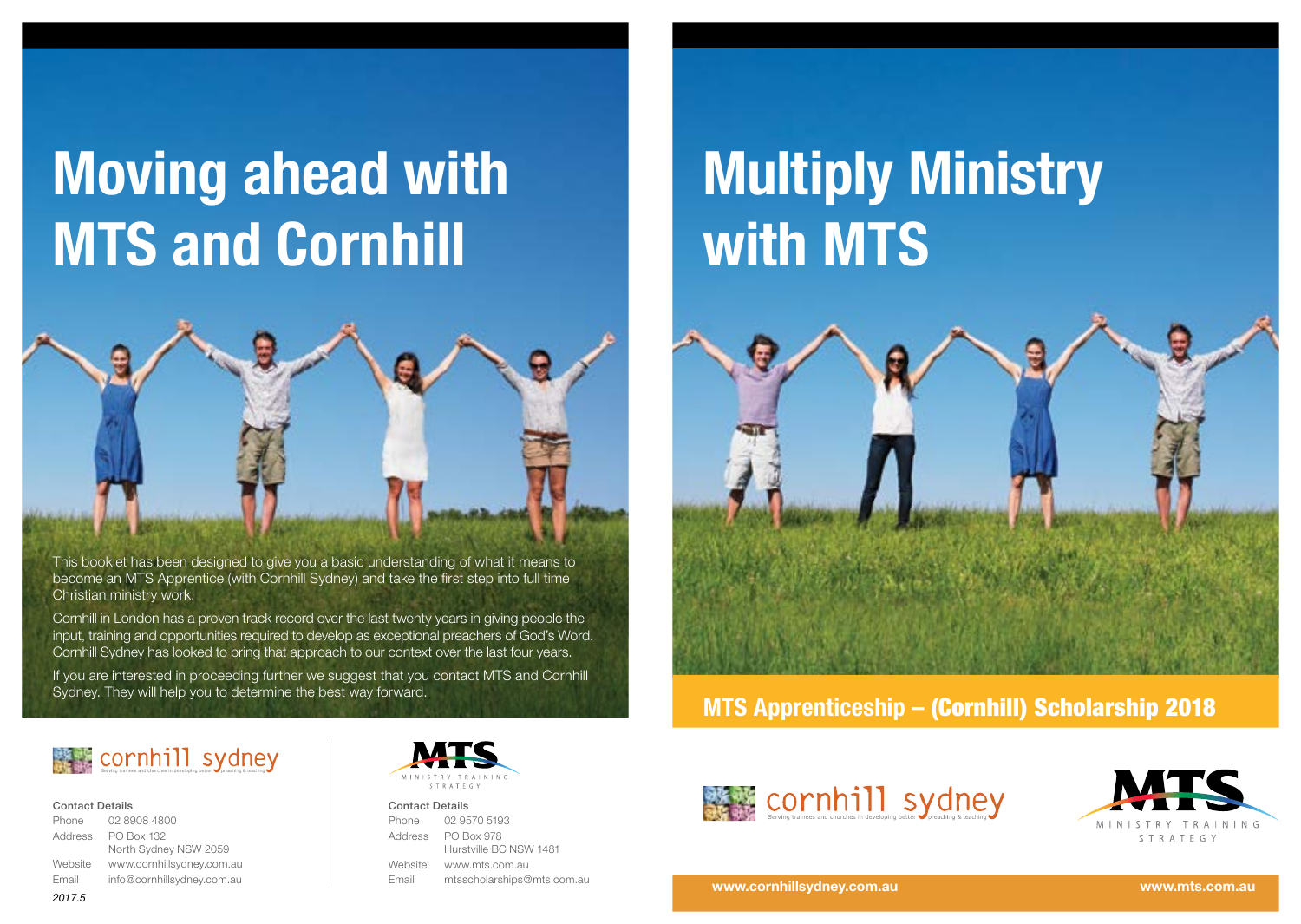# **Moving ahead with MTS and Cornhill**



This booklet has been designed to give you a basic understanding of what it means to become an MTS Apprentice (with Cornhill Sydney) and take the first step into full time Christian ministry work.

Cornhill in London has a proven track record over the last twenty years in giving people the input, training and opportunities required to develop as exceptional preachers of God's Word. Cornhill Sydney has looked to bring that approach to our context over the last four years.

If you are interested in proceeding further we suggest that you contact MTS and Cornhill Sydney. They will help you to determine the best way forward.

# **Multiply Ministry with MTS**



**MTS Apprenticeship –** (Cornhill) Scholarship 2018



#### Contact Details

*2017.5*

| Phone   | 02 8908 4800               |  |
|---------|----------------------------|--|
| Address | PO Box 132                 |  |
|         | North Sydney NSW 2059      |  |
| Website | www.cornhillsydney.com.au  |  |
| Email   | info@cornhillsydney.com.au |  |
|         |                            |  |



#### Contact Details

| Phone   | 02 9570 5193               |
|---------|----------------------------|
| Address | <b>PO Box 978</b>          |
|         | Hurstville BC NSW 1481     |
| Website | www.mts.com.au             |
| Email   | mtsscholarships@mts.com.au |





#### **www.cornhillsydney.com.au www.mts.com.au**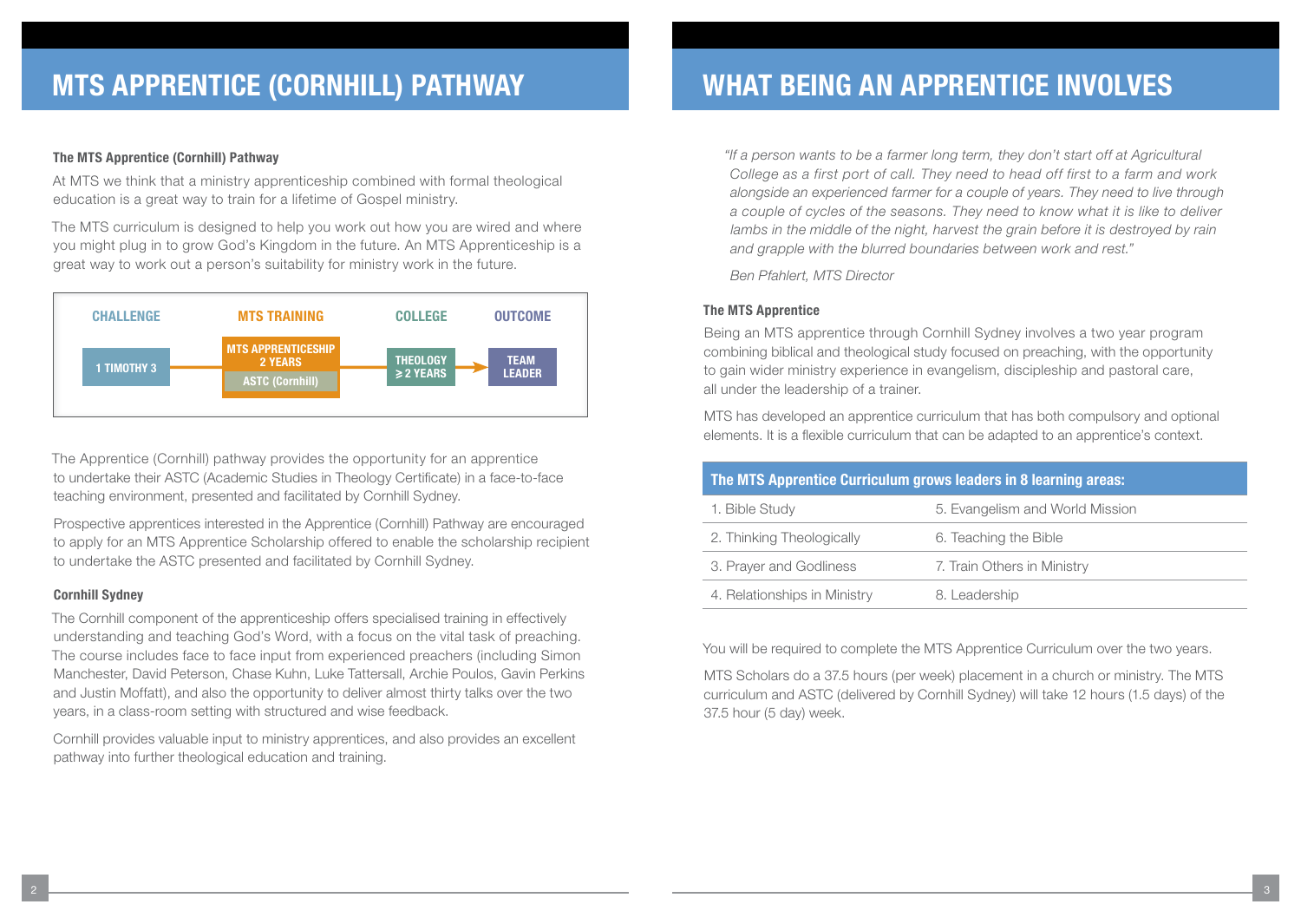#### **The MTS Apprentice (Cornhill) Pathway**

At MTS we think that a ministry apprenticeship combined with formal theological education is a great way to train for a lifetime of Gospel ministry.

The MTS curriculum is designed to help you work out how you are wired and where you might plug in to grow God's Kingdom in the future. An MTS Apprenticeship is a great way to work out a person's suitability for ministry work in the future.



The Apprentice (Cornhill) pathway provides the opportunity for an apprentice to undertake their ASTC (Academic Studies in Theology Certificate) in a face-to-face teaching environment, presented and facilitated by Cornhill Sydney.

Prospective apprentices interested in the Apprentice (Cornhill) Pathway are encouraged to apply for an MTS Apprentice Scholarship offered to enable the scholarship recipient to undertake the ASTC presented and facilitated by Cornhill Sydney.

### **Cornhill Sydney**

The Cornhill component of the apprenticeship offers specialised training in effectively understanding and teaching God's Word, with a focus on the vital task of preaching. The course includes face to face input from experienced preachers (including Simon Manchester, David Peterson, Chase Kuhn, Luke Tattersall, Archie Poulos, Gavin Perkins and Justin Moffatt), and also the opportunity to deliver almost thirty talks over the two years, in a class-room setting with structured and wise feedback.

Cornhill provides valuable input to ministry apprentices, and also provides an excellent pathway into further theological education and training.

*"If a person wants to be a farmer long term, they don't start off at Agricultural College as a first port of call. They need to head off first to a farm and work alongside an experienced farmer for a couple of years. They need to live through a couple of cycles of the seasons. They need to know what it is like to deliver*  lambs in the middle of the night, harvest the grain before it is destroyed by rain *and grapple with the blurred boundaries between work and rest."* 

*Ben Pfahlert, MTS Director*

#### **The MTS Apprentice**

Being an MTS apprentice through Cornhill Sydney involves a two year program combining biblical and theological study focused on preaching, with the opportunity to gain wider ministry experience in evangelism, discipleship and pastoral care, all under the leadership of a trainer.

MTS has developed an apprentice curriculum that has both compulsory and optional elements. It is a flexible curriculum that can be adapted to an apprentice's context.

| The MTS Apprentice Curriculum grows leaders in 8 learning areas: |                                 |  |  |
|------------------------------------------------------------------|---------------------------------|--|--|
| 1. Bible Study                                                   | 5. Evangelism and World Mission |  |  |
| 2. Thinking Theologically                                        | 6. Teaching the Bible           |  |  |
| 3. Prayer and Godliness                                          | 7. Train Others in Ministry     |  |  |
| 4. Relationships in Ministry                                     | 8. Leadership                   |  |  |

You will be required to complete the MTS Apprentice Curriculum over the two years.

MTS Scholars do a 37.5 hours (per week) placement in a church or ministry. The MTS curriculum and ASTC (delivered by Cornhill Sydney) will take 12 hours (1.5 days) of the 37.5 hour (5 day) week.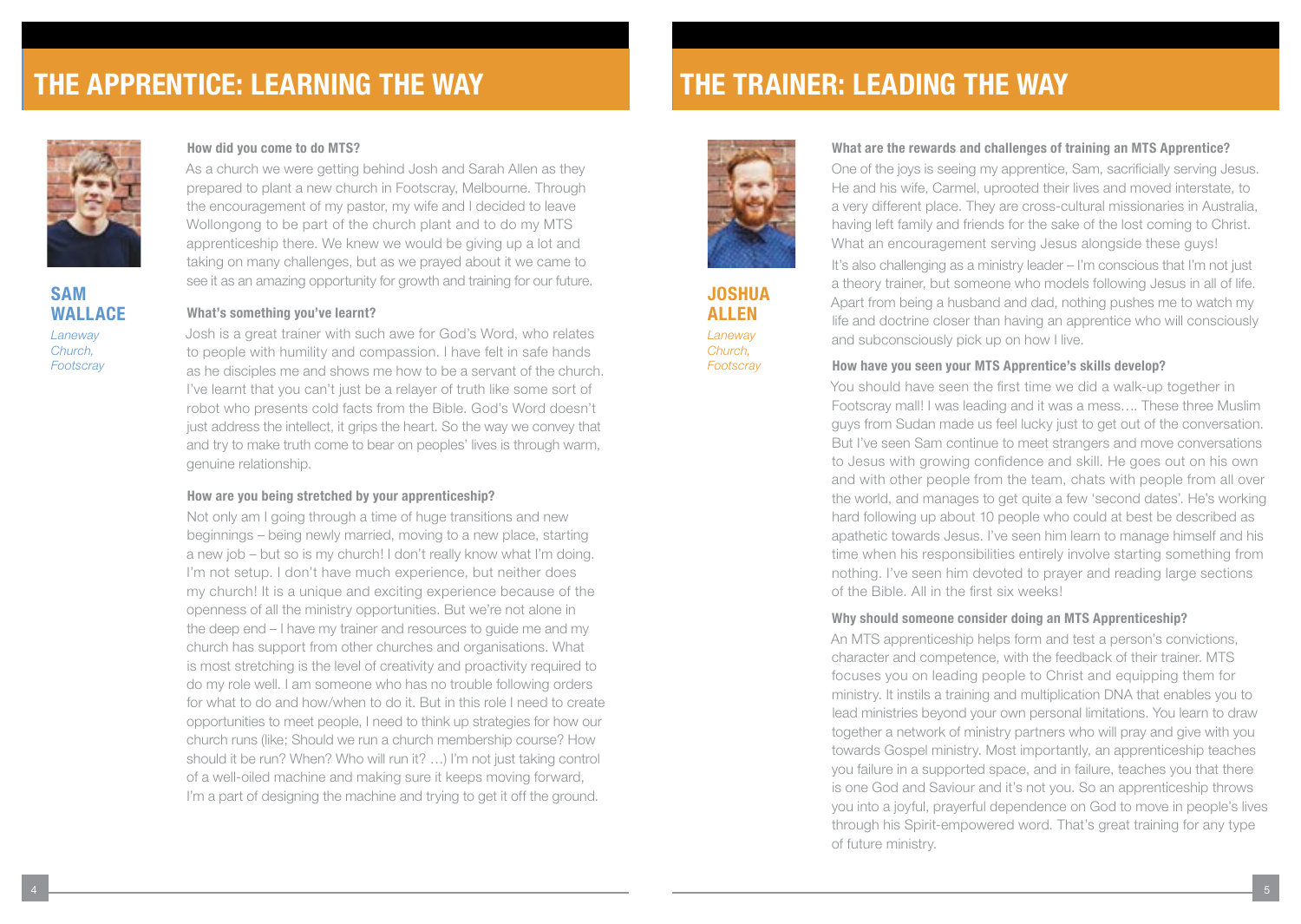## **THE APPRENTICE: LEARNING THE WAY**



**SAM WALLACE** *Laneway Church, Footscray*

#### **How did you come to do MTS?**

As a church we were getting behind Josh and Sarah Allen as they prepared to plant a new church in Footscray, Melbourne. Through the encouragement of my pastor, my wife and I decided to leave Wollongong to be part of the church plant and to do my MTS apprenticeship there. We knew we would be giving up a lot and taking on many challenges, but as we prayed about it we came to see it as an amazing opportunity for growth and training for our future.

#### **What's something you've learnt?**

Josh is a great trainer with such awe for God's Word, who relates to people with humility and compassion. I have felt in safe hands as he disciples me and shows me how to be a servant of the church. I've learnt that you can't just be a relayer of truth like some sort of robot who presents cold facts from the Bible. God's Word doesn't just address the intellect, it grips the heart. So the way we convey that and try to make truth come to bear on peoples' lives is through warm, genuine relationship.

#### **How are you being stretched by your apprenticeship?**

Not only am I going through a time of huge transitions and new beginnings – being newly married, moving to a new place, starting a new job – but so is my church! I don't really know what I'm doing. I'm not setup. I don't have much experience, but neither does my church! It is a unique and exciting experience because of the openness of all the ministry opportunities. But we're not alone in the deep end – I have my trainer and resources to guide me and my church has support from other churches and organisations. What is most stretching is the level of creativity and proactivity required to do my role well. I am someone who has no trouble following orders for what to do and how/when to do it. But in this role I need to create opportunities to meet people, I need to think up strategies for how our church runs (like; Should we run a church membership course? How should it be run? When? Who will run it? …) I'm not just taking control of a well-oiled machine and making sure it keeps moving forward, I'm a part of designing the machine and trying to get it off the ground.

## **THE TRAINER: LEADING THE WAY**



**JOSHUA ALLEN** *Laneway Church, Footscray*

#### **What are the rewards and challenges of training an MTS Apprentice?**

One of the joys is seeing my apprentice, Sam, sacrificially serving Jesus. He and his wife, Carmel, uprooted their lives and moved interstate, to a very different place. They are cross-cultural missionaries in Australia, having left family and friends for the sake of the lost coming to Christ. What an encouragement serving Jesus alongside these guys! It's also challenging as a ministry leader – I'm conscious that I'm not just a theory trainer, but someone who models following Jesus in all of life. Apart from being a husband and dad, nothing pushes me to watch my life and doctrine closer than having an apprentice who will consciously and subconsciously pick up on how I live.

#### **How have you seen your MTS Apprentice's skills develop?**

You should have seen the first time we did a walk-up together in Footscray mall! I was leading and it was a mess…. These three Muslim guys from Sudan made us feel lucky just to get out of the conversation. But I've seen Sam continue to meet strangers and move conversations to Jesus with growing confidence and skill. He goes out on his own and with other people from the team, chats with people from all over the world, and manages to get quite a few 'second dates'. He's working hard following up about 10 people who could at best be described as apathetic towards Jesus. I've seen him learn to manage himself and his time when his responsibilities entirely involve starting something from nothing. I've seen him devoted to prayer and reading large sections of the Bible. All in the first six weeks!

#### **Why should someone consider doing an MTS Apprenticeship?**

An MTS apprenticeship helps form and test a person's convictions, character and competence, with the feedback of their trainer. MTS focuses you on leading people to Christ and equipping them for ministry. It instils a training and multiplication DNA that enables you to lead ministries beyond your own personal limitations. You learn to draw together a network of ministry partners who will pray and give with you towards Gospel ministry. Most importantly, an apprenticeship teaches you failure in a supported space, and in failure, teaches you that there is one God and Saviour and it's not you. So an apprenticeship throws you into a joyful, prayerful dependence on God to move in people's lives through his Spirit-empowered word. That's great training for any type of future ministry.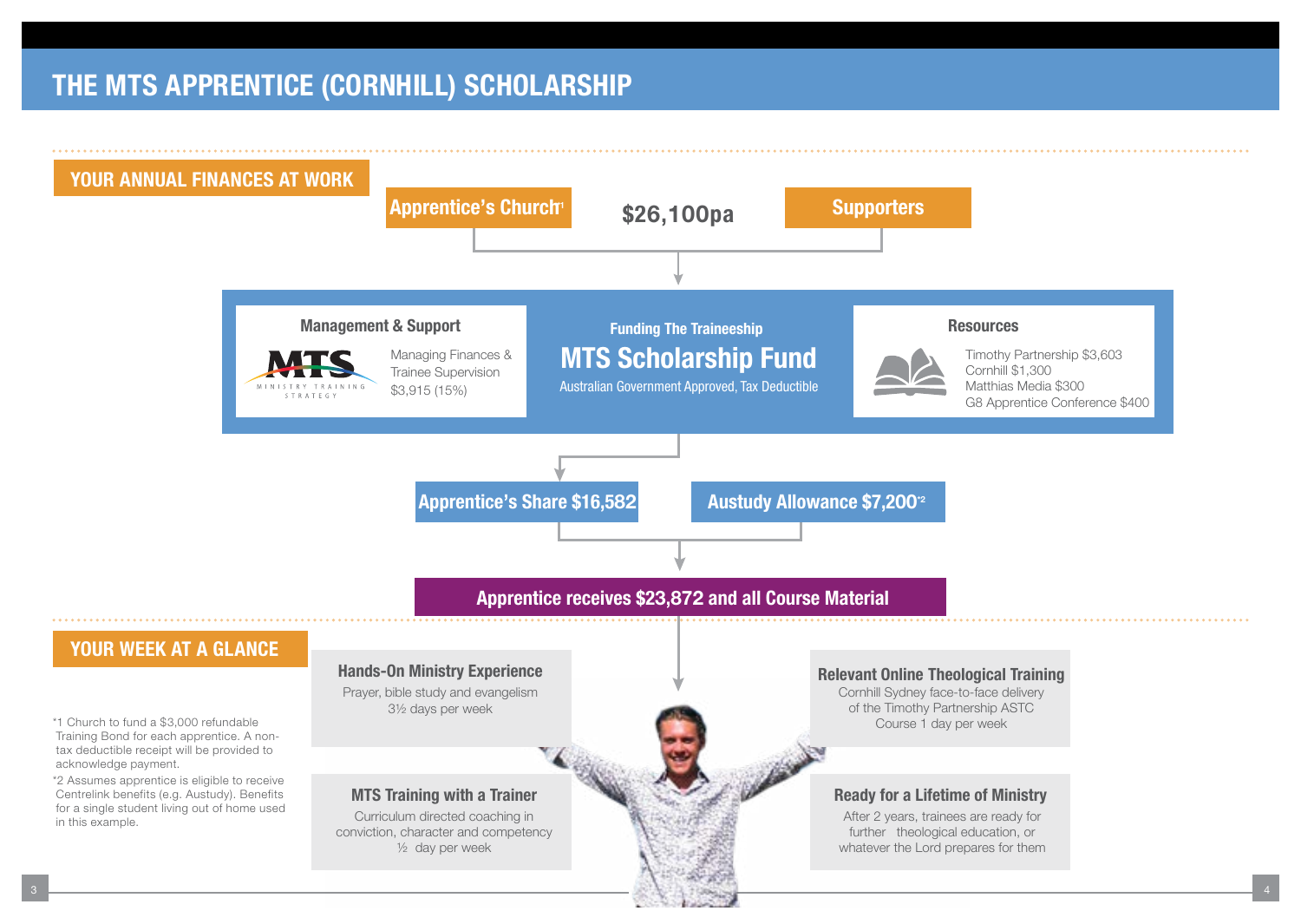## THE MTS APPRENTICE (CORNHILL) SCHOLARSHIP